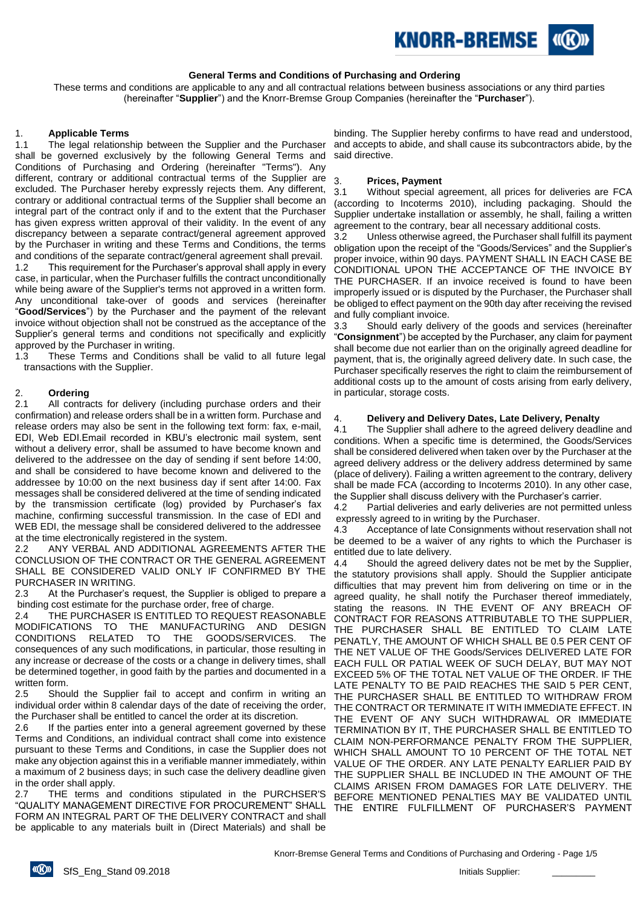

#### **General Terms and Conditions of Purchasing and Ordering**

These terms and conditions are applicable to any and all contractual relations between business associations or any third parties (hereinafter "**Supplier**") and the Knorr-Bremse Group Companies (hereinafter the "**Purchaser**").

#### 1. **Applicable Terms**

1.1 The legal relationship between the Supplier and the Purchaser shall be governed exclusively by the following General Terms and Conditions of Purchasing and Ordering (hereinafter "Terms"). Any different, contrary or additional contractual terms of the Supplier are excluded. The Purchaser hereby expressly rejects them. Any different, contrary or additional contractual terms of the Supplier shall become an integral part of the contract only if and to the extent that the Purchaser has given express written approval of their validity. In the event of any discrepancy between a separate contract/general agreement approved by the Purchaser in writing and these Terms and Conditions, the terms and conditions of the separate contract/general agreement shall prevail.

1.2 This requirement for the Purchaser's approval shall apply in every case, in particular, when the Purchaser fulfills the contract unconditionally while being aware of the Supplier's terms not approved in a written form. Any unconditional take-over of goods and services (hereinafter "**Good/Services**") by the Purchaser and the payment of the relevant invoice without objection shall not be construed as the acceptance of the Supplier's general terms and conditions not specifically and explicitly approved by the Purchaser in writing.

1.3 These Terms and Conditions shall be valid to all future legal transactions with the Supplier.

#### 2. **Ordering**

2.1 All contracts for delivery (including purchase orders and their confirmation) and release orders shall be in a written form. Purchase and release orders may also be sent in the following text form: fax, e-mail, EDI, Web EDI.Email recorded in KBU's electronic mail system, sent without a delivery error, shall be assumed to have become known and delivered to the addressee on the day of sending if sent before 14:00, and shall be considered to have become known and delivered to the addressee by 10:00 on the next business day if sent after 14:00. Fax messages shall be considered delivered at the time of sending indicated by the transmission certificate (log) provided by Purchaser's fax machine, confirming successful transmission. In the case of EDI and WEB EDI, the message shall be considered delivered to the addressee at the time electronically registered in the system.

2.2 ANY VERBAL AND ADDITIONAL AGREEMENTS AFTER THE CONCLUSION OF THE CONTRACT OR THE GENERAL AGREEMENT SHALL BE CONSIDERED VALID ONLY IF CONFIRMED BY THE PURCHASER IN WRITING.

2.3 At the Purchaser's request, the Supplier is obliged to prepare a binding cost estimate for the purchase order, free of charge.

2.4 THE PURCHASER IS ENTITLED TO REQUEST REASONABLE MODIFICATIONS TO THE MANUFACTURING AND DESIGN CONDITIONS RELATED TO THE GOODS/SERVICES. The consequences of any such modifications, in particular, those resulting in any increase or decrease of the costs or a change in delivery times, shall be determined together, in good faith by the parties and documented in a written form.

2.5 Should the Supplier fail to accept and confirm in writing an individual order within 8 calendar days of the date of receiving the order, the Purchaser shall be entitled to cancel the order at its discretion.

2.6 If the parties enter into a general agreement governed by these Terms and Conditions, an individual contract shall come into existence pursuant to these Terms and Conditions, in case the Supplier does not make any objection against this in a verifiable manner immediately, within a maximum of 2 business days; in such case the delivery deadline given in the order shall apply.

2.7 THE terms and conditions stipulated in the PURCHSER'S "QUALITY MANAGEMENT DIRECTIVE FOR PROCUREMENT" SHALL FORM AN INTEGRAL PART OF THE DELIVERY CONTRACT and shall be applicable to any materials built in (Direct Materials) and shall be

binding. The Supplier hereby confirms to have read and understood, and accepts to abide, and shall cause its subcontractors abide, by the said directive.

#### 3. **Prices, Payment**

3.1 Without special agreement, all prices for deliveries are FCA (according to Incoterms 2010), including packaging. Should the Supplier undertake installation or assembly, he shall, failing a written agreement to the contrary, bear all necessary additional costs.

3.2 Unless otherwise agreed, the Purchaser shall fulfill its payment obligation upon the receipt of the "Goods/Services" and the Supplier's proper invoice, within 90 days. PAYMENT SHALL IN EACH CASE BE CONDITIONAL UPON THE ACCEPTANCE OF THE INVOICE BY THE PURCHASER. If an invoice received is found to have been improperly issued or is disputed by the Purchaser, the Purchaser shall be obliged to effect payment on the 90th day after receiving the revised and fully compliant invoice.

3.3 Should early delivery of the goods and services (hereinafter "**Consignment**") be accepted by the Purchaser, any claim for payment shall become due not earlier than on the originally agreed deadline for payment, that is, the originally agreed delivery date. In such case, the Purchaser specifically reserves the right to claim the reimbursement of additional costs up to the amount of costs arising from early delivery, in particular, storage costs.

# 4. **Delivery and Delivery Dates, Late Delivery, Penalty**

The Supplier shall adhere to the agreed delivery deadline and conditions. When a specific time is determined, the Goods/Services shall be considered delivered when taken over by the Purchaser at the agreed delivery address or the delivery address determined by same (place of delivery). Failing a written agreement to the contrary, delivery shall be made FCA (according to Incoterms 2010). In any other case, the Supplier shall discuss delivery with the Purchaser's carrier.

4.2 Partial deliveries and early deliveries are not permitted unless expressly agreed to in writing by the Purchaser.

4.3 Acceptance of late Consignments without reservation shall not be deemed to be a waiver of any rights to which the Purchaser is entitled due to late delivery.

4.4 Should the agreed delivery dates not be met by the Supplier, the statutory provisions shall apply. Should the Supplier anticipate difficulties that may prevent him from delivering on time or in the agreed quality, he shall notify the Purchaser thereof immediately, stating the reasons. IN THE EVENT OF ANY BREACH OF CONTRACT FOR REASONS ATTRIBUTABLE TO THE SUPPLIER, THE PURCHASER SHALL BE ENTITLED TO CLAIM LATE PENATLY, THE AMOUNT OF WHICH SHALL BE 0.5 PER CENT OF THE NET VALUE OF THE Goods/Services DELIVERED LATE FOR EACH FULL OR PATIAL WEEK OF SUCH DELAY, BUT MAY NOT EXCEED 5% OF THE TOTAL NET VALUE OF THE ORDER. IF THE LATE PENALTY TO BE PAID REACHES THE SAID 5 PER CENT, THE PURCHASER SHALL BE ENTITLED TO WITHDRAW FROM THE CONTRACT OR TERMINATE IT WITH IMMEDIATE EFFECT. IN THE EVENT OF ANY SUCH WITHDRAWAL OR IMMEDIATE TERMINATION BY IT, THE PURCHASER SHALL BE ENTITLED TO CLAIM NON-PERFORMANCE PENALTY FROM THE SUPPLIER, WHICH SHALL AMOUNT TO 10 PERCENT OF THE TOTAL NET VALUE OF THE ORDER. ANY LATE PENALTY EARLIER PAID BY THE SUPPLIER SHALL BE INCLUDED IN THE AMOUNT OF THE CLAIMS ARISEN FROM DAMAGES FOR LATE DELIVERY. THE BEFORE MENTIONED PENALTIES MAY BE VALIDATED UNTIL THE ENTIRE FULFILLMENT OF PURCHASER'S PAYMENT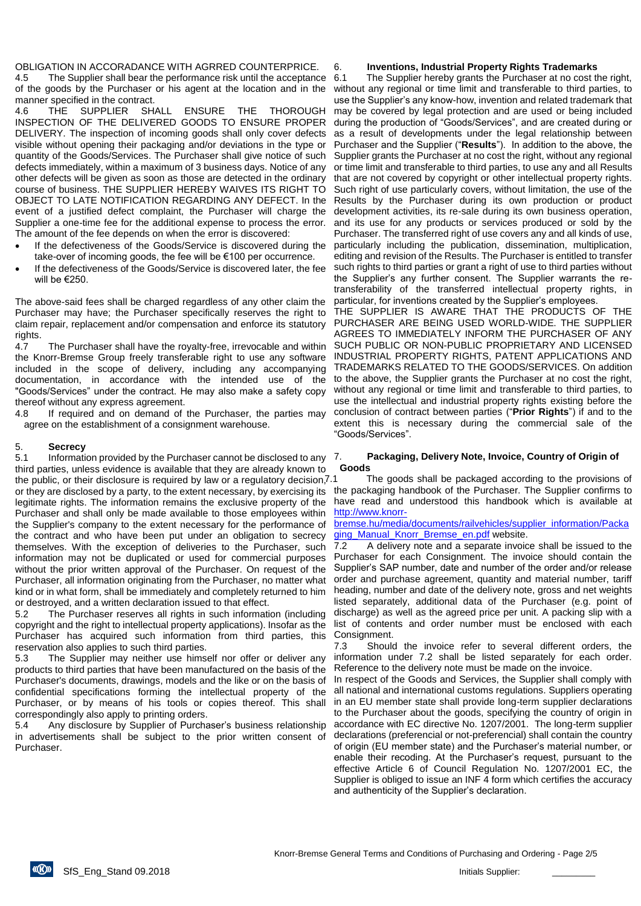OBLIGATION IN ACCORADANCE WITH AGRRED COUNTERPRICE.

4.5 The Supplier shall bear the performance risk until the acceptance of the goods by the Purchaser or his agent at the location and in the manner specified in the contract.

4.6 THE SUPPLIER SHALL ENSURE THE THOROUGH INSPECTION OF THE DELIVERED GOODS TO ENSURE PROPER DELIVERY. The inspection of incoming goods shall only cover defects visible without opening their packaging and/or deviations in the type or quantity of the Goods/Services. The Purchaser shall give notice of such defects immediately, within a maximum of 3 business days. Notice of any other defects will be given as soon as those are detected in the ordinary course of business. THE SUPPLIER HEREBY WAIVES ITS RIGHT TO OBJECT TO LATE NOTIFICATION REGARDING ANY DEFECT. In the event of a justified defect complaint, the Purchaser will charge the Supplier a one-time fee for the additional expense to process the error. The amount of the fee depends on when the error is discovered:

- If the defectiveness of the Goods/Service is discovered during the take-over of incoming goods, the fee will be €100 per occurrence.
- If the defectiveness of the Goods/Service is discovered later, the fee will be €250.

The above-said fees shall be charged regardless of any other claim the Purchaser may have; the Purchaser specifically reserves the right to claim repair, replacement and/or compensation and enforce its statutory rights.

4.7 The Purchaser shall have the royalty-free, irrevocable and within the Knorr-Bremse Group freely transferable right to use any software included in the scope of delivery, including any accompanying documentation, in accordance with the intended use of the "Goods/Services" under the contract. He may also make a safety copy thereof without any express agreement.

4.8 If required and on demand of the Purchaser, the parties may agree on the establishment of a consignment warehouse.

## 5. **Secrecy**

5.1 Information provided by the Purchaser cannot be disclosed to any third parties, unless evidence is available that they are already known to the public, or their disclosure is required by law or a requilatory decision, 7.1 or they are disclosed by a party, to the extent necessary, by exercising its the packaging handbook of the Purchaser. The Supplier confirms to legitimate rights. The information remains the exclusive property of the Purchaser and shall only be made available to those employees within the Supplier's company to the extent necessary for the performance of the contract and who have been put under an obligation to secrecy themselves. With the exception of deliveries to the Purchaser, such information may not be duplicated or used for commercial purposes without the prior written approval of the Purchaser. On request of the Purchaser, all information originating from the Purchaser, no matter what kind or in what form, shall be immediately and completely returned to him or destroyed, and a written declaration issued to that effect.

5.2 The Purchaser reserves all rights in such information (including copyright and the right to intellectual property applications). Insofar as the Purchaser has acquired such information from third parties, this reservation also applies to such third parties.

5.3 The Supplier may neither use himself nor offer or deliver any products to third parties that have been manufactured on the basis of the Purchaser's documents, drawings, models and the like or on the basis of confidential specifications forming the intellectual property of the Purchaser, or by means of his tools or copies thereof. This shall correspondingly also apply to printing orders.

5.4 Any disclosure by Supplier of Purchaser's business relationship in advertisements shall be subject to the prior written consent of Purchaser.

#### 6. **Inventions, Industrial Property Rights Trademarks**

6.1 The Supplier hereby grants the Purchaser at no cost the right, without any regional or time limit and transferable to third parties, to use the Supplier's any know-how, invention and related trademark that may be covered by legal protection and are used or being included during the production of "Goods/Services", and are created during or as a result of developments under the legal relationship between Purchaser and the Supplier ("**Results**"). In addition to the above, the Supplier grants the Purchaser at no cost the right, without any regional or time limit and transferable to third parties, to use any and all Results that are not covered by copyright or other intellectual property rights. Such right of use particularly covers, without limitation, the use of the Results by the Purchaser during its own production or product development activities, its re-sale during its own business operation, and its use for any products or services produced or sold by the Purchaser. The transferred right of use covers any and all kinds of use, particularly including the publication, dissemination, multiplication, editing and revision of the Results. The Purchaser is entitled to transfer such rights to third parties or grant a right of use to third parties without the Supplier's any further consent. The Supplier warrants the retransferability of the transferred intellectual property rights, in particular, for inventions created by the Supplier's employees.

THE SUPPLIER IS AWARE THAT THE PRODUCTS OF THE PURCHASER ARE BEING USED WORLD-WIDE. THE SUPPLIER AGREES TO IMMEDIATELY INFORM THE PURCHASER OF ANY SUCH PUBLIC OR NON-PUBLIC PROPRIETARY AND LICENSED INDUSTRIAL PROPERTY RIGHTS, PATENT APPLICATIONS AND TRADEMARKS RELATED TO THE GOODS/SERVICES. On addition to the above, the Supplier grants the Purchaser at no cost the right, without any regional or time limit and transferable to third parties, to use the intellectual and industrial property rights existing before the conclusion of contract between parties ("**Prior Rights**") if and to the extent this is necessary during the commercial sale of the "Goods/Services".

## 7. **Packaging, Delivery Note, Invoice, Country of Origin of Goods**

The goods shall be packaged according to the provisions of have read and understood this handbook which is available at [http://www.knorr-](http://www.knorr-bremse.hu/media/documents/railvehicles/supplier_information/Packaging_Manual_Knorr_Bremse_en.pdf)

[bremse.hu/media/documents/railvehicles/supplier\\_information/Packa](http://www.knorr-bremse.hu/media/documents/railvehicles/supplier_information/Packaging_Manual_Knorr_Bremse_en.pdf) [ging\\_Manual\\_Knorr\\_Bremse\\_en.pdf](http://www.knorr-bremse.hu/media/documents/railvehicles/supplier_information/Packaging_Manual_Knorr_Bremse_en.pdf) website.

7.2 A delivery note and a separate invoice shall be issued to the Purchaser for each Consignment. The invoice should contain the Supplier's SAP number, date and number of the order and/or release order and purchase agreement, quantity and material number, tariff heading, number and date of the delivery note, gross and net weights listed separately, additional data of the Purchaser (e.g. point of discharge) as well as the agreed price per unit. A packing slip with a list of contents and order number must be enclosed with each Consignment.

7.3 Should the invoice refer to several different orders, the information under 7.2 shall be listed separately for each order. Reference to the delivery note must be made on the invoice.

In respect of the Goods and Services, the Supplier shall comply with all national and international customs regulations. Suppliers operating in an EU member state shall provide long-term supplier declarations to the Purchaser about the goods, specifying the country of origin in accordance with EC directive No. 1207/2001. The long-term supplier declarations (preferencial or not-preferencial) shall contain the country of origin (EU member state) and the Purchaser's material number, or enable their recoding. At the Purchaser's request, pursuant to the effective Article 6 of Council Regulation No. 1207/2001 EC, the Supplier is obliged to issue an INF 4 form which certifies the accuracy and authenticity of the Supplier's declaration.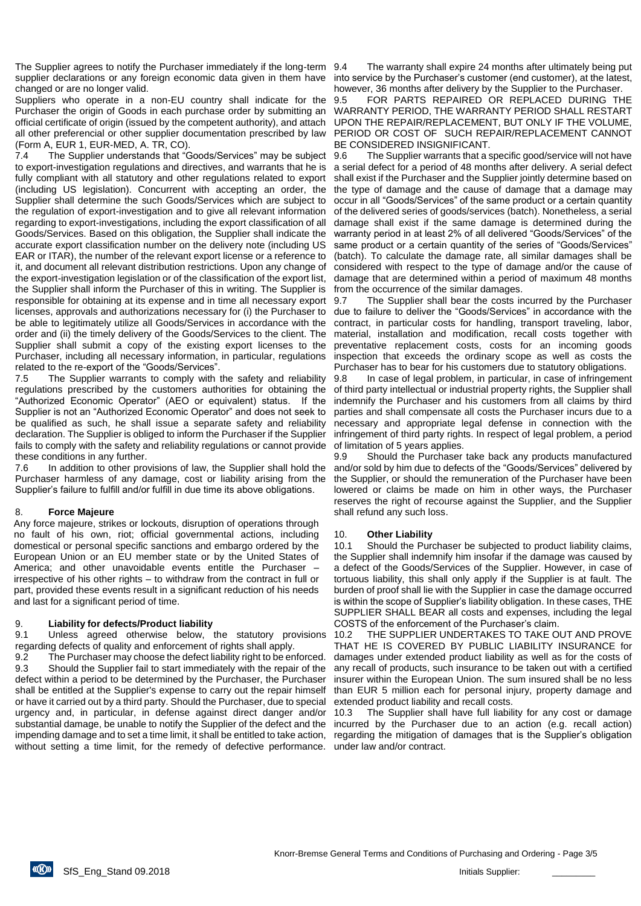The Supplier agrees to notify the Purchaser immediately if the long-term 9.4 supplier declarations or any foreign economic data given in them have changed or are no longer valid.

Suppliers who operate in a non-EU country shall indicate for the Purchaser the origin of Goods in each purchase order by submitting an official certificate of origin (issued by the competent authority), and attach all other preferencial or other supplier documentation prescribed by law (Form A, EUR 1, EUR-MED, A. TR, CO).

7.4 The Supplier understands that "Goods/Services" may be subject to export-investigation regulations and directives, and warrants that he is fully compliant with all statutory and other regulations related to export (including US legislation). Concurrent with accepting an order, the Supplier shall determine the such Goods/Services which are subject to the regulation of export-investigation and to give all relevant information regarding to export-investigations, including the export classification of all Goods/Services. Based on this obligation, the Supplier shall indicate the accurate export classification number on the delivery note (including US EAR or ITAR), the number of the relevant export license or a reference to it, and document all relevant distribution restrictions. Upon any change of the export-investigation legislation or of the classification of the export list, the Supplier shall inform the Purchaser of this in writing. The Supplier is responsible for obtaining at its expense and in time all necessary export licenses, approvals and authorizations necessary for (i) the Purchaser to be able to legitimately utilize all Goods/Services in accordance with the order and (ii) the timely delivery of the Goods/Services to the client. The Supplier shall submit a copy of the existing export licenses to the Purchaser, including all necessary information, in particular, regulations related to the re-export of the "Goods/Services".

7.5 The Supplier warrants to comply with the safety and reliability regulations prescribed by the customers authorities for obtaining the "Authorized Economic Operator" (AEO or equivalent) status. If the Supplier is not an "Authorized Economic Operator" and does not seek to be qualified as such, he shall issue a separate safety and reliability declaration. The Supplier is obliged to inform the Purchaser if the Supplier fails to comply with the safety and reliability regulations or cannot provide these conditions in any further.

7.6 In addition to other provisions of law, the Supplier shall hold the Purchaser harmless of any damage, cost or liability arising from the Supplier's failure to fulfill and/or fulfill in due time its above obligations.

## 8. **Force Majeure**

Any force majeure, strikes or lockouts, disruption of operations through no fault of his own, riot; official governmental actions, including domestical or personal specific sanctions and embargo ordered by the European Union or an EU member state or by the United States of America; and other unavoidable events entitle the Purchaser – irrespective of his other rights – to withdraw from the contract in full or part, provided these events result in a significant reduction of his needs and last for a significant period of time.

## 9. **Liability for defects/Product liability**

9.1 Unless agreed otherwise below, the statutory provisions regarding defects of quality and enforcement of rights shall apply.

9.2 The Purchaser may choose the defect liability right to be enforced. 9.3 Should the Supplier fail to start immediately with the repair of the defect within a period to be determined by the Purchaser, the Purchaser shall be entitled at the Supplier's expense to carry out the repair himself or have it carried out by a third party. Should the Purchaser, due to special urgency and, in particular, in defense against direct danger and/or substantial damage, be unable to notify the Supplier of the defect and the impending damage and to set a time limit, it shall be entitled to take action, without setting a time limit, for the remedy of defective performance.

The warranty shall expire 24 months after ultimately being put into service by the Purchaser's customer (end customer), at the latest, however, 36 months after delivery by the Supplier to the Purchaser.

9.5 FOR PARTS REPAIRED OR REPLACED DURING THE WARRANTY PERIOD, THE WARRANTY PERIOD SHALL RESTART UPON THE REPAIR/REPLACEMENT, BUT ONLY IF THE VOLUME, PERIOD OR COST OF SUCH REPAIR/REPLACEMENT CANNOT BE CONSIDERED INSIGNIFICANT.

9.6 The Supplier warrants that a specific good/service will not have a serial defect for a period of 48 months after delivery. A serial defect shall exist if the Purchaser and the Supplier jointly determine based on the type of damage and the cause of damage that a damage may occur in all "Goods/Services" of the same product or a certain quantity of the delivered series of goods/services (batch). Nonetheless, a serial damage shall exist if the same damage is determined during the warranty period in at least 2% of all delivered "Goods/Services" of the same product or a certain quantity of the series of "Goods/Services" (batch). To calculate the damage rate, all similar damages shall be considered with respect to the type of damage and/or the cause of damage that are determined within a period of maximum 48 months from the occurrence of the similar damages.

9.7 The Supplier shall bear the costs incurred by the Purchaser due to failure to deliver the "Goods/Services" in accordance with the contract, in particular costs for handling, transport traveling, labor, material, installation and modification, recall costs together with preventative replacement costs, costs for an incoming goods inspection that exceeds the ordinary scope as well as costs the Purchaser has to bear for his customers due to statutory obligations.

9.8 In case of legal problem, in particular, in case of infringement of third party intellectual or industrial property rights, the Supplier shall indemnify the Purchaser and his customers from all claims by third parties and shall compensate all costs the Purchaser incurs due to a necessary and appropriate legal defense in connection with the infringement of third party rights. In respect of legal problem, a period of limitation of 5 years applies.

9.9 Should the Purchaser take back any products manufactured and/or sold by him due to defects of the "Goods/Services" delivered by the Supplier, or should the remuneration of the Purchaser have been lowered or claims be made on him in other ways, the Purchaser reserves the right of recourse against the Supplier, and the Supplier shall refund any such loss.

## 10. **Other Liability**

10.1 Should the Purchaser be subjected to product liability claims, the Supplier shall indemnify him insofar if the damage was caused by a defect of the Goods/Services of the Supplier. However, in case of tortuous liability, this shall only apply if the Supplier is at fault. The burden of proof shall lie with the Supplier in case the damage occurred is within the scope of Supplier's liability obligation. In these cases, THE SUPPLIER SHALL BEAR all costs and expenses, including the legal COSTS of the enforcement of the Purchaser's claim.

10.2 THE SUPPLIER UNDERTAKES TO TAKE OUT AND PROVE THAT HE IS COVERED BY PUBLIC LIABILITY INSURANCE for damages under extended product liability as well as for the costs of any recall of products, such insurance to be taken out with a certified insurer within the European Union. The sum insured shall be no less than EUR 5 million each for personal injury, property damage and extended product liability and recall costs.

10.3 The Supplier shall have full liability for any cost or damage incurred by the Purchaser due to an action (e.g. recall action) regarding the mitigation of damages that is the Supplier's obligation under law and/or contract.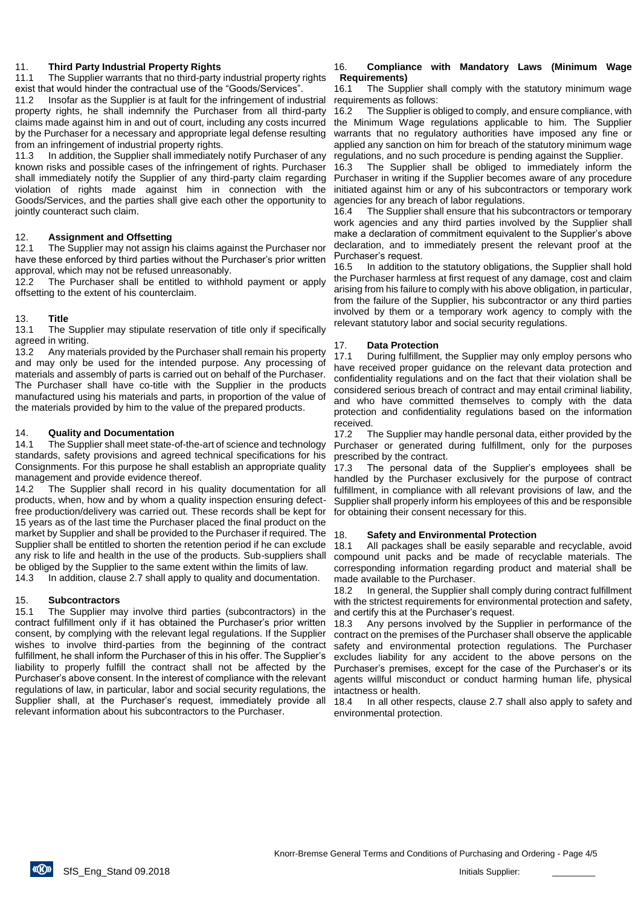## 11. **Third Party Industrial Property Rights**

11.1 The Supplier warrants that no third-party industrial property rights exist that would hinder the contractual use of the "Goods/Services".

11.2 Insofar as the Supplier is at fault for the infringement of industrial property rights, he shall indemnify the Purchaser from all third-party claims made against him in and out of court, including any costs incurred by the Purchaser for a necessary and appropriate legal defense resulting from an infringement of industrial property rights.

11.3 In addition, the Supplier shall immediately notify Purchaser of any known risks and possible cases of the infringement of rights. Purchaser shall immediately notify the Supplier of any third-party claim regarding violation of rights made against him in connection with the Goods/Services, and the parties shall give each other the opportunity to jointly counteract such claim.

# 12. **Assignment and Offsetting**

12.1 The Supplier may not assign his claims against the Purchaser nor have these enforced by third parties without the Purchaser's prior written approval, which may not be refused unreasonably.

12.2 The Purchaser shall be entitled to withhold payment or apply offsetting to the extent of his counterclaim.

# 13. **Title**

13.1 The Supplier may stipulate reservation of title only if specifically agreed in writing.

13.2 Any materials provided by the Purchaser shall remain his property and may only be used for the intended purpose. Any processing of materials and assembly of parts is carried out on behalf of the Purchaser. The Purchaser shall have co-title with the Supplier in the products manufactured using his materials and parts, in proportion of the value of the materials provided by him to the value of the prepared products.

## 14. **Quality and Documentation**

14.1 The Supplier shall meet state-of-the-art of science and technology standards, safety provisions and agreed technical specifications for his Consignments. For this purpose he shall establish an appropriate quality management and provide evidence thereof.

14.2 The Supplier shall record in his quality documentation for all products, when, how and by whom a quality inspection ensuring defectfree production/delivery was carried out. These records shall be kept for 15 years as of the last time the Purchaser placed the final product on the market by Supplier and shall be provided to the Purchaser if required. The 18. Supplier shall be entitled to shorten the retention period if he can exclude any risk to life and health in the use of the products. Sub-suppliers shall be obliged by the Supplier to the same extent within the limits of law.

14.3 In addition, clause 2.7 shall apply to quality and documentation.

# 15. **Subcontractors**

15.1 The Supplier may involve third parties (subcontractors) in the contract fulfillment only if it has obtained the Purchaser's prior written consent, by complying with the relevant legal regulations. If the Supplier wishes to involve third-parties from the beginning of the contract fulfillment, he shall inform the Purchaser of this in his offer. The Supplier's liability to properly fulfill the contract shall not be affected by the Purchaser's above consent. In the interest of compliance with the relevant regulations of law, in particular, labor and social security regulations, the Supplier shall, at the Purchaser's request, immediately provide all relevant information about his subcontractors to the Purchaser.

## 16. **Compliance with Mandatory Laws (Minimum Wage Requirements)**

16.1 The Supplier shall comply with the statutory minimum wage requirements as follows:

16.2 The Supplier is obliged to comply, and ensure compliance, with the Minimum Wage regulations applicable to him. The Supplier warrants that no regulatory authorities have imposed any fine or applied any sanction on him for breach of the statutory minimum wage regulations, and no such procedure is pending against the Supplier.

16.3 The Supplier shall be obliged to immediately inform the Purchaser in writing if the Supplier becomes aware of any procedure initiated against him or any of his subcontractors or temporary work agencies for any breach of labor regulations.

16.4 The Supplier shall ensure that his subcontractors or temporary work agencies and any third parties involved by the Supplier shall make a declaration of commitment equivalent to the Supplier's above declaration, and to immediately present the relevant proof at the Purchaser's request.

16.5 In addition to the statutory obligations, the Supplier shall hold the Purchaser harmless at first request of any damage, cost and claim arising from his failure to comply with his above obligation, in particular, from the failure of the Supplier, his subcontractor or any third parties involved by them or a temporary work agency to comply with the relevant statutory labor and social security regulations.

# 17. **Data Protection**

17.1 During fulfillment, the Supplier may only employ persons who have received proper guidance on the relevant data protection and confidentiality regulations and on the fact that their violation shall be considered serious breach of contract and may entail criminal liability, and who have committed themselves to comply with the data protection and confidentiality regulations based on the information received.

17.2 The Supplier may handle personal data, either provided by the Purchaser or generated during fulfillment, only for the purposes prescribed by the contract.

17.3 The personal data of the Supplier's employees shall be handled by the Purchaser exclusively for the purpose of contract fulfillment, in compliance with all relevant provisions of law, and the Supplier shall properly inform his employees of this and be responsible for obtaining their consent necessary for this.

## 18. **Safety and Environmental Protection**

18.1 All packages shall be easily separable and recyclable, avoid compound unit packs and be made of recyclable materials. The corresponding information regarding product and material shall be made available to the Purchaser.

18.2 In general, the Supplier shall comply during contract fulfillment with the strictest requirements for environmental protection and safety, and certify this at the Purchaser's request.

18.3 Any persons involved by the Supplier in performance of the contract on the premises of the Purchaser shall observe the applicable safety and environmental protection regulations. The Purchaser excludes liability for any accident to the above persons on the Purchaser's premises, except for the case of the Purchaser's or its agents willful misconduct or conduct harming human life, physical intactness or health.

18.4 In all other respects, clause 2.7 shall also apply to safety and environmental protection.